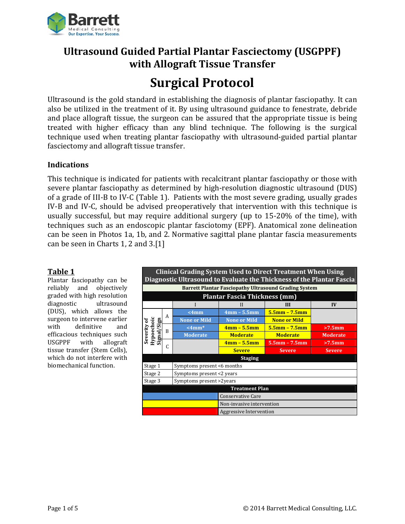

## **Ultrasound Guided Partial Plantar Fasciectomy (USGPPF) with Allograft Tissue Transfer**

# **Surgical Protocol**

Ultrasound is the gold standard in establishing the diagnosis of plantar fasciopathy. It can also be utilized in the treatment of it. By using ultrasound guidance to fenestrate, debride and place allograft tissue, the surgeon can be assured that the appropriate tissue is being treated with higher efficacy than any blind technique. The following is the surgical technique used when treating plantar fasciopathy with ultrasound-guided partial plantar fasciectomy and allograft tissue transfer.

## **Indications**

This technique is indicated for patients with recalcitrant plantar fasciopathy or those with severe plantar fasciopathy as determined by high-resolution diagnostic ultrasound (DUS) of a grade of III-B to IV-C (Table 1). Patients with the most severe grading, usually grades IV-B and IV-C, should be advised preoperatively that intervention with this technique is usually successful, but may require additional surgery (up to 15-20% of the time), with techniques such as an endoscopic plantar fasciotomy (EPF). Anatomical zone delineation can be seen in Photos 1a, 1b, and 2. Normative sagittal plane plantar fascia measurements can be seen in Charts 1, 2 and  $3.[1]$ 

## **Table 1**

Plantar fasciopathy can be reliably and objectively graded with high resolution diagnostic ultrasound (DUS), which allows the surgeon to intervene earlier with definitive and efficacious techniques such USGPPF with allograft tissue transfer (Stem Cells), which do not interfere with biomechanical function. 

| <b>Clinical Grading System Used to Direct Treatment When Using</b><br>Diagnostic Ultrasound to Evaluate the Thickness of the Plantar Fascia |   |                            |                           |                     |                 |
|---------------------------------------------------------------------------------------------------------------------------------------------|---|----------------------------|---------------------------|---------------------|-----------------|
| <b>Barrett Plantar Fasciopathy Ultrasound Grading System</b>                                                                                |   |                            |                           |                     |                 |
| <b>Plantar Fascia Thickness (mm)</b>                                                                                                        |   |                            |                           |                     |                 |
|                                                                                                                                             |   |                            | H                         | Ш                   | $\bf{IV}$       |
| Severity of<br>Hypoechoic<br>Signal/Sign                                                                                                    | A | <4mm                       | $4mm - 5.5mm$             | $5.5$ mm – $7.5$ mm |                 |
|                                                                                                                                             |   | <b>None or Mild</b>        | <b>None or Mild</b>       | <b>None or Mild</b> |                 |
|                                                                                                                                             | B | $\leq$ 4mm $*$             | $4mm - 5.5mm$             | $5.5$ mm – 7.5mm    | $>7.5$ mm       |
|                                                                                                                                             |   | <b>Moderate</b>            | <b>Moderate</b>           | <b>Moderate</b>     | <b>Moderate</b> |
|                                                                                                                                             | C |                            | $4mm - 5.5mm$             | $5.5$ mm – $7.5$ mm | $>7.5$ mm       |
|                                                                                                                                             |   |                            | <b>Severe</b>             | <b>Severe</b>       | <b>Severe</b>   |
| <b>Staging</b>                                                                                                                              |   |                            |                           |                     |                 |
| Stage 1                                                                                                                                     |   | Symptoms present <6 months |                           |                     |                 |
| Stage 2                                                                                                                                     |   | Symptoms present <2 years  |                           |                     |                 |
| Stage 3                                                                                                                                     |   | Symptoms present >2years   |                           |                     |                 |
| <b>Treatment Plan</b>                                                                                                                       |   |                            |                           |                     |                 |
|                                                                                                                                             |   |                            | <b>Conservative Care</b>  |                     |                 |
|                                                                                                                                             |   |                            | Non-invasive intervention |                     |                 |
|                                                                                                                                             |   |                            | Aggressive Intervention   |                     |                 |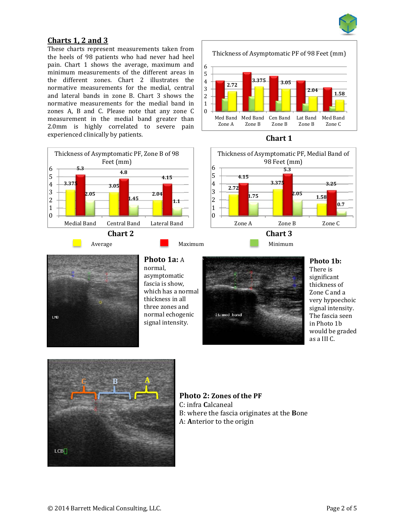

## **Charts 1, 2 and 3**

These charts represent measurements taken from the heels of 98 patients who had never had heel pain. Chart 1 shows the average, maximum and minimum measurements of the different areas in the different zones. Chart 2 illustrates the normative measurements for the medial, central and lateral bands in zone B. Chart 3 shows the normative measurements for the medial band in zones A, B and C. Please note that any zone C measurement in the medial band greater than 2.0mm is highly correlated to severe pain experienced clinically by patients. **Chart 1** 



Thickness of Asymptomatic PF of 98 Feet (mm)









## **Photo 1a:** A

normal, asymptomatic fascia is show. which has a normal thickness in all three zones and normal echogenic signal intensity.



#### **Photo 1b:**

There is significant thickness of Zone C and a very hypoechoic signal intensity. The fascia seen in Photo 1b would be graded as a III C.



**Photo 2: Zones of the PF** C: infra **Calcaneal** B: where the fascia originates at the **Bone** A: Anterior to the origin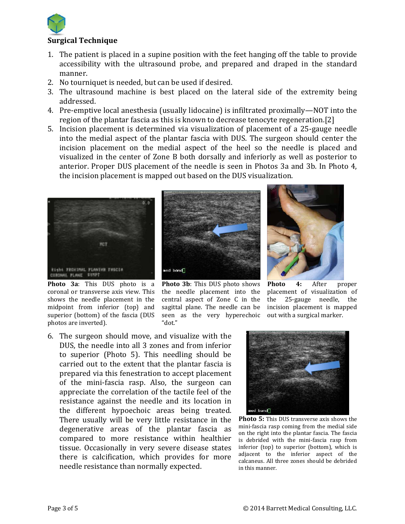

## **Surgical Technique**

- 1. The patient is placed in a supine position with the feet hanging off the table to provide accessibility with the ultrasound probe, and prepared and draped in the standard manner.
- 2. No tourniquet is needed, but can be used if desired.
- 3. The ultrasound machine is best placed on the lateral side of the extremity being addressed.
- 4. Pre-emptive local anesthesia (usually lidocaine) is infiltrated proximally—NOT into the region of the plantar fascia as this is known to decrease tenocyte regeneration.[2]
- 5. Incision placement is determined via visualization of placement of a 25-gauge needle into the medial aspect of the plantar fascia with DUS. The surgeon should center the incision placement on the medial aspect of the heel so the needle is placed and visualized in the center of Zone B both dorsally and inferiorly as well as posterior to anterior. Proper DUS placement of the needle is seen in Photos 3a and 3b. In Photo 4, the incision placement is mapped out based on the DUS visualization.



**Photo** 3a: This DUS photo is a coronal or transverse axis view. This shows the needle placement in the midpoint from inferior (top) and superior (bottom) of the fascia (DUS photos are inverted).



**Photo** 3b: This DUS photo shows the needle placement into the central aspect of Zone C in the sagittal plane. The needle can be seen as the very hyperechoic "dot."



**Photo 4:** After proper placement of visualization of the 25‐gauge needle, the incision placement is mapped out with a surgical marker.

6. The surgeon should move, and visualize with the DUS, the needle into all 3 zones and from inferior to superior (Photo  $5$ ). This needling should be carried out to the extent that the plantar fascia is prepared via this fenestration to accept placement of the mini-fascia rasp. Also, the surgeon can appreciate the correlation of the tactile feel of the resistance against the needle and its location in the different hypoechoic areas being treated. There usually will be very little resistance in the degenerative areas of the plantar fascia as compared to more resistance within healthier tissue. Occasionally in very severe disease states there is calcification, which provides for more needle resistance than normally expected.



**Photo 5:** This DUS transverse axis shows the mini-fascia rasp coming from the medial side on the right into the plantar fascia. The fascia is debrided with the mini-fascia rasp from inferior (top) to superior (bottom), which is adjacent to the inferior aspect of the calcaneus. All three zones should be debrided in this manner.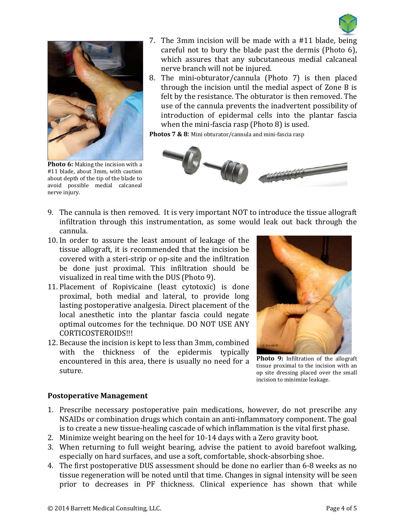



**Photo 6:** Making the incision with a #11 blade, about 3mm, with caution about depth of the tip of the blade to avoid possible medial calcaneal nerve injury.

- 7. The 3mm incision will be made with a  $#11$  blade, being careful not to bury the blade past the dermis (Photo  $6$ ), which assures that any subcutaneous medial calcaneal nerve branch will not be injured.
- 8. The mini-obturator/cannula (Photo 7) is then placed through the incision until the medial aspect of Zone B is felt by the resistance. The obturator is then removed. The use of the cannula prevents the inadvertent possibility of introduction of epidermal cells into the plantar fascia when the mini-fascia rasp (Photo  $8$ ) is used.

**Photos 7 & 8:** Mini obturator/cannula and mini-fascia rasp



- 9. The cannula is then removed. It is very important NOT to introduce the tissue allograft infiltration through this instrumentation, as some would leak out back through the cannula.
- 10. In order to assure the least amount of leakage of the tissue allograft, it is recommended that the incision be covered with a steri-strip or op-site and the infiltration be done just proximal. This infiltration should be visualized in real time with the DUS (Photo 9).
- 11. Placement of Ropivicaine (least cytotoxic) is done proximal, both medial and lateral, to provide long lasting postoperative analgesia. Direct placement of the local anesthetic into the plantar fascia could negate optimal outcomes for the technique. DO NOT USE ANY CORTICOSTEROIDS!!!
- 12. Because the incision is kept to less than 3mm, combined with the thickness of the epidermis typically encountered in this area, there is usually no need for a suture.



**Photo** 9: Infiltration of the allograft tissue proximal to the incision with an op site dressing placed over the small incision to minimize leakage.

## **Postoperative Management**

- 1. Prescribe necessary postoperative pain medications, however, do not prescribe any NSAIDs or combination drugs which contain an anti-inflammatory component. The goal is to create a new tissue-healing cascade of which inflammation is the vital first phase.
- 2. Minimize weight bearing on the heel for 10-14 days with a Zero gravity boot.
- 3. When returning to full weight bearing, advise the patient to avoid barefoot walking, especially on hard surfaces, and use a soft, comfortable, shock-absorbing shoe.
- 4. The first postoperative DUS assessment should be done no earlier than 6-8 weeks as no tissue regeneration will be noted until that time. Changes in signal intensity will be seen prior to decreases in PF thickness. Clinical experience has shown that while